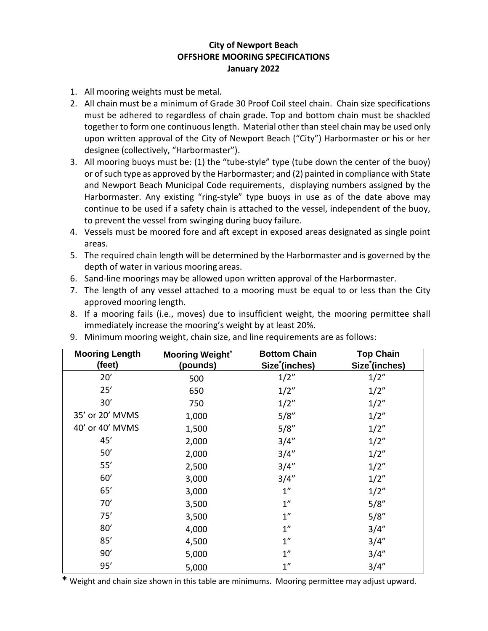## **City of Newport Beach OFFSHORE MOORING SPECIFICATIONS January 2022**

- 1. All mooring weights must be metal.
- 2. All chain must be a minimum of Grade 30 Proof Coil steel chain. Chain size specifications must be adhered to regardless of chain grade. Top and bottom chain must be shackled together to form one continuous length. Material other than steel chain may be used only upon written approval of the City of Newport Beach ("City") Harbormaster or his or her designee (collectively, "Harbormaster").
- 3. All mooring buoys must be: (1) the "tube-style" type (tube down the center of the buoy) or of such type as approved by the Harbormaster; and (2) painted in compliance with State and Newport Beach Municipal Code requirements, displaying numbers assigned by the Harbormaster. Any existing "ring-style" type buoys in use as of the date above may continue to be used if a safety chain is attached to the vessel, independent of the buoy, to prevent the vessel from swinging during buoy failure.
- 4. Vessels must be moored fore and aft except in exposed areas designated as single point areas.
- 5. The required chain length will be determined by the Harbormaster and is governed by the depth of water in various mooring areas.
- 6. Sand-line moorings may be allowed upon written approval of the Harbormaster.
- 7. The length of any vessel attached to a mooring must be equal to or less than the City approved mooring length.
- 8. If a mooring fails (i.e., moves) due to insufficient weight, the mooring permittee shall immediately increase the mooring's weight by at least 20%.

| <b>Mooring Length</b> | <b>Mooring Weight*</b> | <b>Bottom Chain</b>        | <b>Top Chain</b>           |
|-----------------------|------------------------|----------------------------|----------------------------|
| (feet)                | (pounds)               | Size <sup>*</sup> (inches) | Size <sup>*</sup> (inches) |
| 20'                   | 500                    | 1/2"                       | 1/2"                       |
| 25'                   | 650                    | 1/2"                       | 1/2"                       |
| 30'                   | 750                    | 1/2"                       | 1/2"                       |
| 35' or 20' MVMS       | 1,000                  | 5/8"                       | 1/2"                       |
| 40' or 40' MVMS       | 1,500                  | 5/8"                       | 1/2"                       |
| 45'                   | 2,000                  | 3/4''                      | 1/2"                       |
| 50'                   | 2,000                  | 3/4''                      | 1/2"                       |
| 55'                   | 2,500                  | 3/4''                      | 1/2"                       |
| 60'                   | 3,000                  | 3/4''                      | 1/2"                       |
| 65'                   | 3,000                  | 1 <sup>''</sup>            | 1/2"                       |
| 70'                   | 3,500                  | 1 <sup>''</sup>            | 5/8''                      |
| 75'                   | 3,500                  | 1 <sup>''</sup>            | 5/8"                       |
| 80'                   | 4,000                  | 1"                         | 3/4''                      |
| 85'                   | 4,500                  | 1"                         | 3/4''                      |
| 90'                   | 5,000                  | 1 <sup>''</sup>            | 3/4''                      |
| 95'                   | 5,000                  | 1"                         | 3/4''                      |

9. Minimum mooring weight, chain size, and line requirements are as follows:

**\*** Weight and chain size shown in this table are minimums. Mooring permittee may adjust upward.